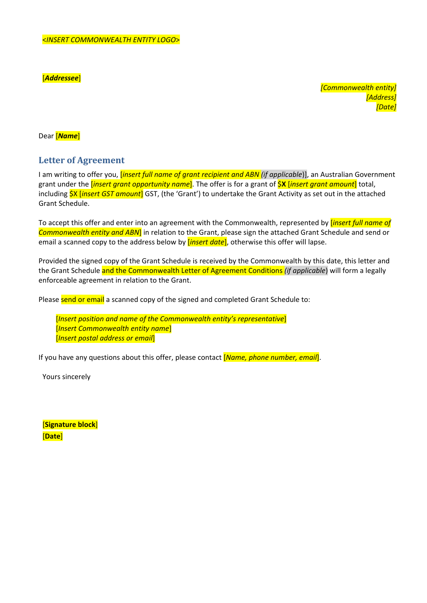[*Addressee*]

*[Commonwealth entity] [Address] [Date]*

Dear [*Name*]

## **Letter of Agreement**

I am writing to offer you, [*insert full name of grant recipient and ABN (if applicable*)], an Australian Government grant under the [*insert grant opportunity name*]. The offer is for a grant of \$**X** [*insert grant amount*] total, including \$X [*insert GST amount*] GST, (the 'Grant') to undertake the Grant Activity as set out in the attached Grant Schedule.

To accept this offer and enter into an agreement with the Commonwealth, represented by [*insert full name of Commonwealth entity and ABN*] in relation to the Grant, please sign the attached Grant Schedule and send or email a scanned copy to the address below by [*insert date*], otherwise this offer will lapse.

Provided the signed copy of the Grant Schedule is received by the Commonwealth by this date, this letter and the Grant Schedule and the Commonwealth Letter of Agreement Conditions *(if applicable*) will form a legally enforceable agreement in relation to the Grant.

Please send or email a scanned copy of the signed and completed Grant Schedule to:

[*Insert position and name of the Commonwealth entity's representative*] [*Insert Commonwealth entity name*] [*Insert postal address or email*]

If you have any questions about this offer, please contact [*Name, phone number, email*].

Yours sincerely

[**Signature block**] [**Date**]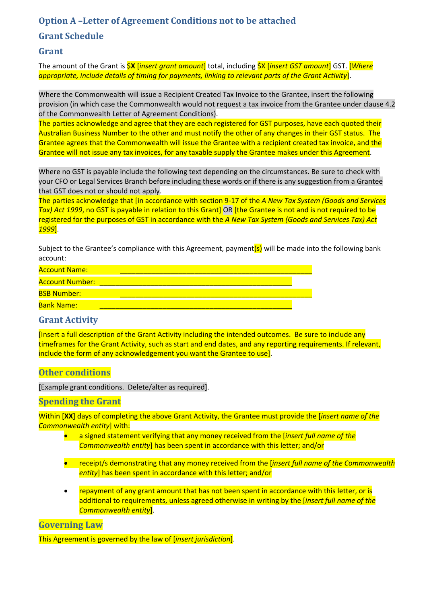# **Option A –Letter of Agreement Conditions not to be attached**

## **Grant Schedule**

## **Grant**

The amount of the Grant is \$**X** [*insert grant amount*] total, including \$X [*insert GST amount*] GST. [*Where appropriate, include details of timing for payments, linking to relevant parts of the Grant Activity*].

Where the Commonwealth will issue a Recipient Created Tax Invoice to the Grantee, insert the following provision (in which case the Commonwealth would not request a tax invoice from the Grantee under clause 4.2 of the Commonwealth Letter of Agreement Conditions).

The parties acknowledge and agree that they are each registered for GST purposes, have each quoted their Australian Business Number to the other and must notify the other of any changes in their GST status. The Grantee agrees that the Commonwealth will issue the Grantee with a recipient created tax invoice, and the Grantee will not issue any tax invoices, for any taxable supply the Grantee makes under this Agreement.

Where no GST is payable include the following text depending on the circumstances. Be sure to check with your CFO or Legal Services Branch before including these words or if there is any suggestion from a Grantee that GST does not or should not apply.

The parties acknowledge that [in accordance with section 9‐17 of the *A New Tax System (Goods and Services Tax) Act 1999*, no GST is payable in relation to this Grant] OR [the Grantee is not and is not required to be registered for the purposes of GST in accordance with the *A New Tax System (Goods and Services Tax) Act 1999*].

Subject to the Grantee's compliance with this Agreement, payment(s) will be made into the following bank account:

| <b>Account Name:</b>   |  |
|------------------------|--|
| <b>Account Number:</b> |  |
| <b>BSB Number:</b>     |  |
| <b>Bank Name:</b>      |  |

## **Grant Activity**

[Insert a full description of the Grant Activity including the intended outcomes. Be sure to include any timeframes for the Grant Activity, such as start and end dates, and any reporting requirements. If relevant, include the form of any acknowledgement you want the Grantee to use].

## **Other conditions**

[Example grant conditions. Delete/alter as required].

## **Spending the Grant**

Within [**XX**] days of completing the above Grant Activity, the Grantee must provide the [*insert name of the Commonwealth entity*] with:

- a signed statement verifying that any money received from the [*insert full name of the Commonwealth entity*] has been spent in accordance with this letter; and/or
- receipt/s demonstrating that any money received from the [*insert full name of the Commonwealth entity*] has been spent in accordance with this letter; and/or
- repayment of any grant amount that has not been spent in accordance with this letter, or is additional to requirements, unless agreed otherwise in writing by the [*insert full name of the Commonwealth entity*].

### **Governing** Law

This Agreement is governed by the law of [*insert jurisdiction*].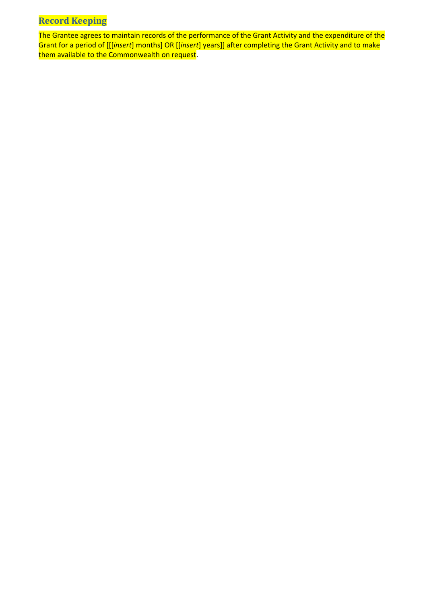# **Record Keeping**

The Grantee agrees to maintain records of the performance of the Grant Activity and the expenditure of the Grant for a period of [[[*insert*] months] OR [[*insert*] years]] after completing the Grant Activity and to make them available to the Commonwealth on request.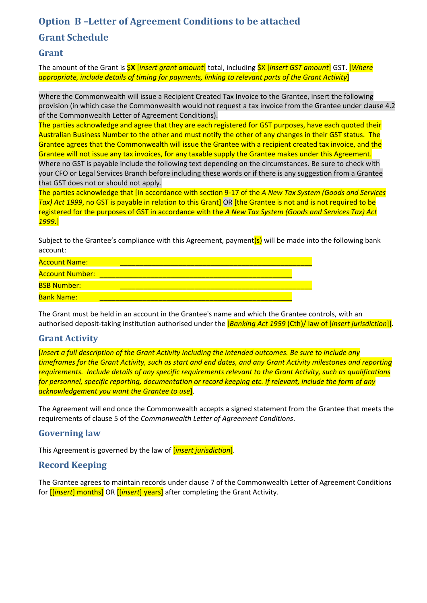## **Option B –Letter of Agreement Conditions to be attached**

## **Grant Schedule**

## **Grant**

The amount of the Grant is \$**X** [*insert grant amount*] total, including \$X [*insert GST amount*] GST. [*Where appropriate, include details of timing for payments, linking to relevant parts of the Grant Activity*]

Where the Commonwealth will issue a Recipient Created Tax Invoice to the Grantee, insert the following provision (in which case the Commonwealth would not request a tax invoice from the Grantee under clause 4.2 of the Commonwealth Letter of Agreement Conditions).

The parties acknowledge and agree that they are each registered for GST purposes, have each quoted their Australian Business Number to the other and must notify the other of any changes in their GST status. The Grantee agrees that the Commonwealth will issue the Grantee with a recipient created tax invoice, and the Grantee will not issue any tax invoices, for any taxable supply the Grantee makes under this Agreement. Where no GST is payable include the following text depending on the circumstances. Be sure to check with your CFO or Legal Services Branch before including these words or if there is any suggestion from a Grantee that GST does not or should not apply.

The parties acknowledge that [in accordance with section 9‐17 of the *A New Tax System (Goods and Services Tax) Act* 1999, no GST is payable in relation to this Grant] OR [the Grantee is not and is not required to be registered for the purposes of GST in accordance with the *A New Tax System (Goods and Services Tax) Act 1999*.]

Subject to the Grantee's compliance with this Agreement, payment<sup>(s)</sup> will be made into the following bank account:

| <b>Account Name:</b>   |  |
|------------------------|--|
| <b>Account Number:</b> |  |
| <b>BSB Number:</b>     |  |
| <b>Bank Name:</b>      |  |

The Grant must be held in an account in the Grantee's name and which the Grantee controls, with an authorised deposit‐taking institution authorised under the [*Banking Act 1959* (Cth)/ law of [*insert jurisdiction*]].

## **Grant Activity**

[*Insert a full description of the Grant Activity including the intended outcomes. Be sure to include any* timeframes for the Grant Activity, such as start and end dates, and any Grant Activity milestones and reporting requirements. Include details of any specific requirements relevant to the Grant Activity, such as qualifications *for personnel, specific reporting, documentation or record keeping etc. If relevant, include the form of any acknowledgement you want the Grantee to use*].

The Agreement will end once the Commonwealth accepts a signed statement from the Grantee that meets the requirements of clause 5 of the *Commonwealth Letter of Agreement Conditions*.

## **Governing law**

This Agreement is governed by the law of [*insert jurisdiction*].

## **Record Keeping**

The Grantee agrees to maintain records under clause 7 of the Commonwealth Letter of Agreement Conditions for [[*insert*] months] OR [[*insert*] years] after completing the Grant Activity.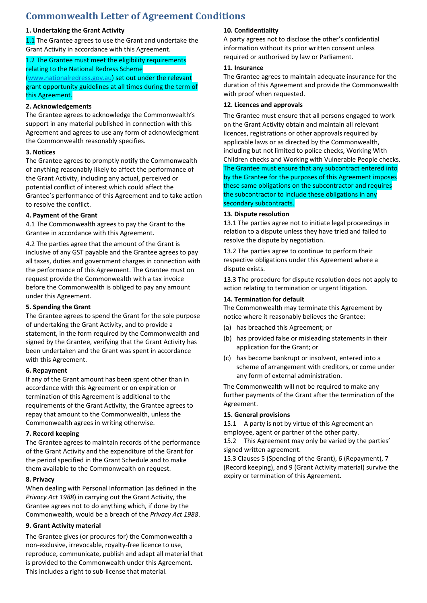## **Commonwealth Letter of Agreement Conditions**

#### **1. Undertaking the Grant Activity**

1.1 The Grantee agrees to use the Grant and undertake the Grant Activity in accordance with this Agreement.

#### 1.2 The Grantee must meet the eligibility requirements relating to the National Redress Scheme (www.nationalredress.gov.au) set out under the relevant

grant opportunity guidelines at all times during the term of this Agreement.

#### **2. Acknowledgements**

The Grantee agrees to acknowledge the Commonwealth's support in any material published in connection with this Agreement and agrees to use any form of acknowledgment the Commonwealth reasonably specifies.

#### **3. Notices**

The Grantee agrees to promptly notify the Commonwealth of anything reasonably likely to affect the performance of the Grant Activity, including any actual, perceived or potential conflict of interest which could affect the Grantee's performance of this Agreement and to take action to resolve the conflict.

#### **4. Payment of the Grant**

4.1 The Commonwealth agrees to pay the Grant to the Grantee in accordance with this Agreement.

4.2 The parties agree that the amount of the Grant is inclusive of any GST payable and the Grantee agrees to pay all taxes, duties and government charges in connection with the performance of this Agreement. The Grantee must on request provide the Commonwealth with a tax invoice before the Commonwealth is obliged to pay any amount under this Agreement.

#### **5. Spending the Grant**

The Grantee agrees to spend the Grant for the sole purpose of undertaking the Grant Activity, and to provide a statement, in the form required by the Commonwealth and signed by the Grantee, verifying that the Grant Activity has been undertaken and the Grant was spent in accordance with this Agreement.

#### **6. Repayment**

If any of the Grant amount has been spent other than in accordance with this Agreement or on expiration or termination of this Agreement is additional to the requirements of the Grant Activity, the Grantee agrees to repay that amount to the Commonwealth, unless the Commonwealth agrees in writing otherwise.

#### **7. Record keeping**

The Grantee agrees to maintain records of the performance of the Grant Activity and the expenditure of the Grant for the period specified in the Grant Schedule and to make them available to the Commonwealth on request.

#### **8. Privacy**

When dealing with Personal Information (as defined in the *Privacy Act 1988*) in carrying out the Grant Activity, the Grantee agrees not to do anything which, if done by the Commonwealth, would be a breach of the *Privacy Act 1988*.

#### **9. Grant Activity material**

The Grantee gives (or procures for) the Commonwealth a non‐exclusive, irrevocable, royalty‐free licence to use, reproduce, communicate, publish and adapt all material that is provided to the Commonwealth under this Agreement. This includes a right to sub‐license that material.

#### **10. Confidentiality**

A party agrees not to disclose the other's confidential information without its prior written consent unless required or authorised by law or Parliament.

#### **11. Insurance**

The Grantee agrees to maintain adequate insurance for the duration of this Agreement and provide the Commonwealth with proof when requested.

#### **12. Licences and approvals**

The Grantee must ensure that all persons engaged to work on the Grant Activity obtain and maintain all relevant licences, registrations or other approvals required by applicable laws or as directed by the Commonwealth, including but not limited to police checks, Working With Children checks and Working with Vulnerable People checks. The Grantee must ensure that any subcontract entered into by the Grantee for the purposes of this Agreement imposes these same obligations on the subcontractor and requires the subcontractor to include these obligations in any secondary subcontracts.

#### **13. Dispute resolution**

13.1 The parties agree not to initiate legal proceedings in relation to a dispute unless they have tried and failed to resolve the dispute by negotiation.

13.2 The parties agree to continue to perform their respective obligations under this Agreement where a dispute exists.

13.3 The procedure for dispute resolution does not apply to action relating to termination or urgent litigation.

#### **14. Termination for default**

The Commonwealth may terminate this Agreement by notice where it reasonably believes the Grantee:

- (a) has breached this Agreement; or
- (b) has provided false or misleading statements in their application for the Grant; or
- (c) has become bankrupt or insolvent, entered into a scheme of arrangement with creditors, or come under any form of external administration.

The Commonwealth will not be required to make any further payments of the Grant after the termination of the Agreement.

#### **15. General provisions**

15.1 A party is not by virtue of this Agreement an employee, agent or partner of the other party.

15.2 This Agreement may only be varied by the parties' signed written agreement.

15.3 Clauses 5 (Spending of the Grant), 6 (Repayment), 7 (Record keeping), and 9 (Grant Activity material) survive the expiry or termination of this Agreement.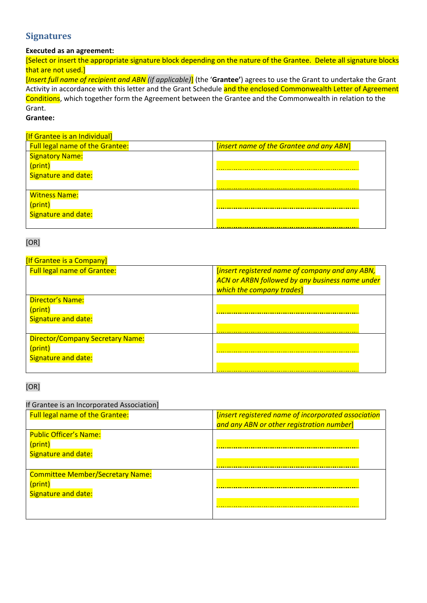## **Signatures**

### **Executed as an agreement:**

[Select or insert the appropriate signature block depending on the nature of the Grantee. Delete all signature blocks that are not used.]

[*Insert full name of recipient and ABN (if applicable)*] (the '**Grantee'**) agrees to use the Grant to undertake the Grant Activity in accordance with this letter and the Grant Schedule and the enclosed Commonwealth Letter of Agreement Conditions, which together form the Agreement between the Grantee and the Commonwealth in relation to the Grant.

## **Grantee:**

#### [If Grantee is an Individual]

| <b>Full legal name of the Grantee:</b> | [insert name of the Grantee and any ABN] |
|----------------------------------------|------------------------------------------|
| <b>Signatory Name:</b>                 |                                          |
| (print)                                |                                          |
| Signature and date:                    |                                          |
|                                        |                                          |
| <b>Witness Name:</b>                   |                                          |
| (print)                                |                                          |
| <b>Signature and date:</b>             |                                          |
|                                        |                                          |

#### [OR]

### **[If Grantee is a Company]**

| <b>Full legal name of Grantee:</b>                                        | [insert registered name of company and any ABN,<br><b>ACN or ARBN followed by any business name under</b><br>which the company trades] |
|---------------------------------------------------------------------------|----------------------------------------------------------------------------------------------------------------------------------------|
| Director's Name:<br>(print)<br>Signature and date:                        |                                                                                                                                        |
| <b>Director/Company Secretary Name:</b><br>(print)<br>Signature and date: |                                                                                                                                        |

### [OR]

### If Grantee is an Incorporated Association]

| <b>Full legal name of the Grantee:</b>  | [insert registered name of incorporated association |
|-----------------------------------------|-----------------------------------------------------|
|                                         | and any ABN or other registration number]           |
| <b>Public Officer's Name:</b>           |                                                     |
| (print)                                 |                                                     |
| Signature and date:                     |                                                     |
|                                         |                                                     |
| <b>Committee Member/Secretary Name:</b> |                                                     |
| (print)                                 |                                                     |
| Signature and date:                     |                                                     |
|                                         |                                                     |
|                                         |                                                     |